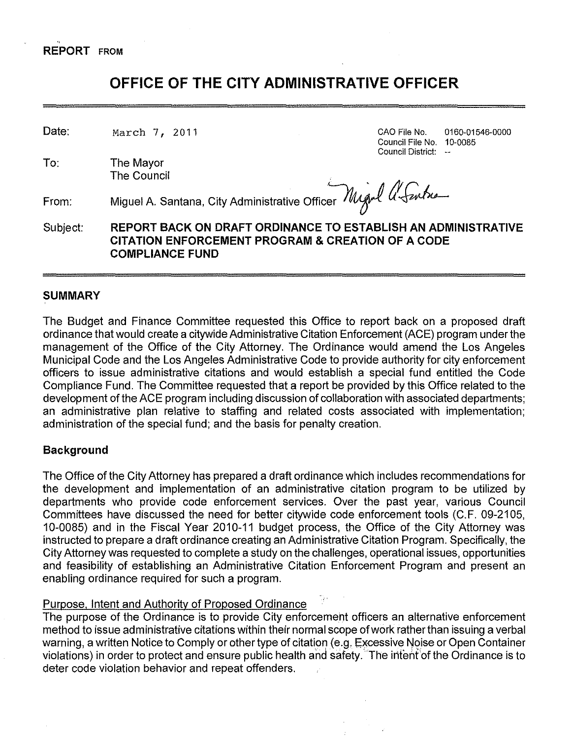#### ., **REPORT** FROM

# **OFFICE OF THE CITY ADMINISTRATIVE OFFICER**

Date:

March 7, 2011 GAO File No. 0160-01546-0000 Council File No. 10-0085 Council District: --

To: The Mayor<br>The Council The Council  $\mathbb{R}^n$  . The council is a set of  $\mathbb{R}^n$ 

From:

Miguel A. Santana, City Administrative Officer  $\mathcal{M}_{\mathcal{A}}$  of  $\mathcal{U}_{\mathcal{A}}$  and  $\mathcal{U}_{\mathcal{A}}$ 

Subject: **REPORT BACK ON DRAFT ORDINANCE TO ESTABLISH AN ADMINISTRATIVE CITATION ENFORCEMENT PROGRAM & CREATION OF A CODE COMPLIANCE FUND** 

# **SUMMARY**

The Budget and Finance Committee requested this Office to report back on a proposed draft ordinance that would create a citywide Administrative Citation Enforcement (ACE) program under the management of the Office of the City Attorney. The Ordinance would amend the Los Angeles Municipal Code and the Los Angeles Administrative Code to provide authority for city enforcement officers to issue administrative citations and would establish a special fund entitled the Code Compliance Fund. The Committee requested that a report be provided by this Office related to the development of the ACE program including discussion of collaboration with associated departments; an administrative plan relative to staffing and related costs associated with implementation; administration of the special fund; and the basis for penalty creation.

# **Background**

The Office of the City Attorney has prepared a draft ordinance which includes recommendations for the development and implementation of an administrative citation program to be utilized by departments who provide code enforcement services. Over the past year, various Council Committees have discussed the need for better citywide code enforcement tools (C. F. 09-2105, 10-0085) and in the Fiscal Year 2010-11 budget process, the Office of the City Attorney was instructed to prepare a draft ordinance creating an Administrative Citation Program. Specifically, the City Attorney was requested to complete a study on the challenges, operational issues, opportunities and feasibility of establishing an Administrative Citation Enforcement Program and present an enabling ordinance required for such a program.

# Purpose. Intent and Authority of Proposed Ordinance

The purpose of the Ordinance is to provide City enforcement officers an alternative enforcement method to issue administrative citations within their normal scope of work rather than issuing a verbal warning, a written Notice to Comply or other type of citation (e.g. Excessive Noise or Open Container violations) in order to protect and ensure public health and safety. The intent of the Ordinance is to deter code violation behavior and repeat offenders.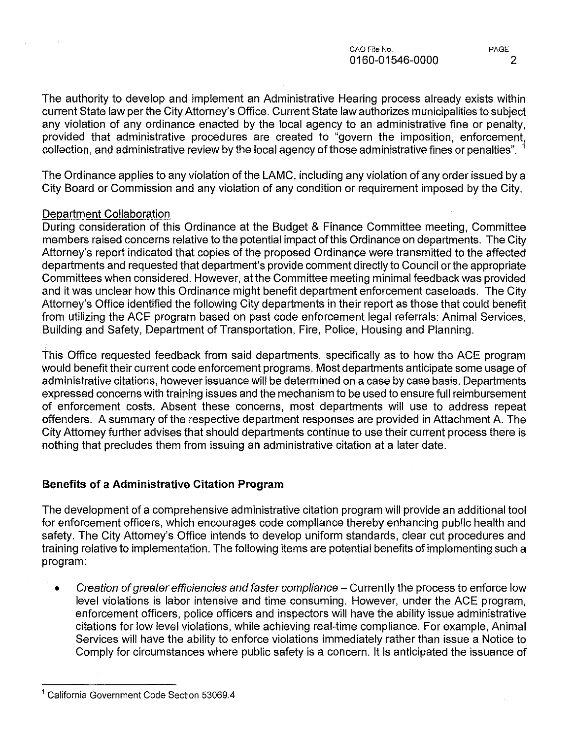The authority to develop and implement an Administrative Hearing process already exists within current State law per the City Attorney's Office. Current State law authorizes municipalities to subject any violation of any ordinance enacted by the local agency to an administrative fine or penalty, provided that administrative procedures are created to "govern the imposition, enforcement collection, and administrative review by the local agency of those administrative fines or penalties".

The Ordinance applies to any violation of the LAMC, including any violation of any order issued by a City Board or Commission and any violation of any condition or requirement imposed by the City.

### Department Collaboration

During consideration of this Ordinance at the Budget & Finance Committee meeting, Committee members raised concerns relative to the potential impact of this Ordinance on departments. The City Attorney's report indicated that copies of the proposed Ordinance were transmitted to the affected departments and requested that department's provide comment directly to Council or the appropriate Committees when considered. However, at the Committee meeting minimal feedback was provided and it was unclear how this Ordinance might benefit department enforcement caseloads. The City Attorney's Office identified the following City departments in their report as those that could benefit from utilizing the ACE program based on past code enforcement legal referrals: Animal Services, Building and Safety, Department of Transportation, Fire, Police, Housing and Planning.

This Office requested feedback from said departments, specifically as to how the ACE program would benefit their current code enforcement programs. Most departments anticipate some usage of administrative citations, however issuance will be determined on a case by case basis. Departments expressed concerns with training issues and the mechanism to be used to ensure full reimbursement of enforcement costs. Absent these concerns, most departments will use to address repeat offenders. A summary of the respective department responses are provided in Attachment A. The City Attorney further advises that should departments continue to use their current process there is nothing that precludes them from issuing an administrative citation at a later date.

# **Benefits of a Administrative Citation Program**

The development of a comprehensive administrative citation program will provide an additional tool for enforcement officers, which encourages code compliance thereby enhancing public health and safety. The City Attorney's Office intends to develop uniform standards, clear cut procedures and training relative to implementation. The following items are potential benefits of implementing such a program:

Creation of greater efficiencies and faster compliance – Currently the process to enforce low level violations is labor intensive and time consuming. However, under the ACE program, enforcement officers, police officers and inspectors will have the ability issue administrative citations for low level violations, while achieving real-time compliance. For example, Animal Services will have the ability to enforce violations immediately rather than issue a Notice to Comply for circumstances where public safety is a concern. It is anticipated the issuance of

<sup>1</sup> California Government Code Section 53069.4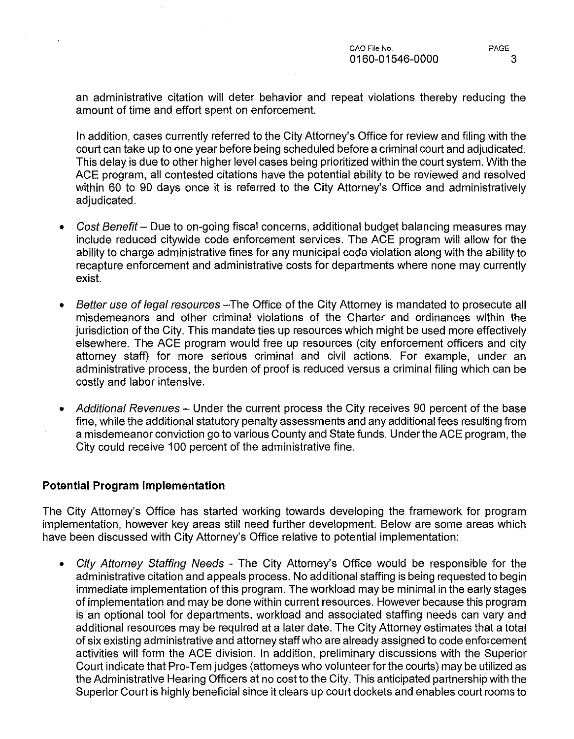an administrative citation will deter behavior and repeat violations thereby reducing the amount of time and effort spent on enforcement.

In addition, cases currently referred to the City Attorney's Office for review and filing with the court can take up to one year before being scheduled before a criminal court and adjudicated. This delay is due to other higher level cases being prioritized within the court system. With the ACE program, all contested citations have the potential ability to be reviewed and resolved within 60 to 90 days once it is referred to the City Attorney's Office and administratively adjudicated.

- Cost Benefit- Due to on-going fiscal concerns, additional budget balancing measures may include reduced citywide code enforcement services. The ACE program will allow for the ability to charge administrative fines for any municipal code violation along with the ability to recapture enforcement and administrative costs for departments where none may currently exist.
- Better use of legal resources The Office of the City Attorney is mandated to prosecute all misdemeanors and other criminal violations of the Charter and ordinances within the jurisdiction of the City. This mandate ties up resources which might be used more effectively elsewhere. The ACE program would free up resources (city enforcement officers and city attorney staff) for more serious criminal and civil actions. For example, under an administrative process, the burden of proof is reduced versus a criminal filing which can be costly and labor intensive.
- Additional Revenues Under the current process the City receives 90 percent of the base fine, while the additional statutory penalty assessments and any additional fees resulting from a misdemeanor conviction go to various County and State funds. Under the ACE program, the City could receive 100 percent of the administrative fine.

#### **Potential Program Implementation**

The City Attorney's Office has started working towards developing the framework for program implementation, however key areas still need further development. Below are some areas which have been discussed with City Attorney's Office relative to potential implementation:

• City Attorney Staffing Needs - The City Attorney's Office would be responsible for the administrative citation and appeals process. No additional staffing is being requested to begin immediate implementation of this program. The workload may be minimal in the early stages of implementation and may be done within current resources. However because this program is an optional tool for departments, workload and associated staffing needs can vary and additional resources may be required at a later date. The City Attorney estimates that a total of six existing administrative and attorney staff who are already assigned to code enforcement activities will form the ACE division. In addition, preliminary discussions with the Superior Court indicate that Pro-Tern judges (attorneys who volunteer for the courts) may be utilized as the Administrative Hearing Officers at no cost to the City. This anticipated partnership with the Superior Court is highly beneficial since it clears up court dockets and enables court rooms to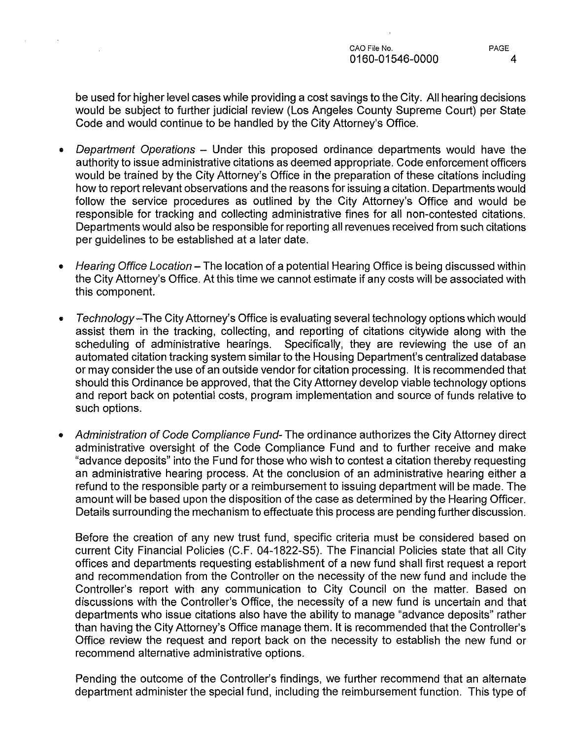be used for higher level cases while providing a cost savings to the City. All hearing decisions would be subject to further judicial review (Los Angeles County Supreme Court) per State Code and would continue to be handled by the City Attorney's Office.

- Department Operations Under this proposed ordinance departments would have the authority to issue administrative citations as deemed appropriate. Code enforcement officers would be trained by the City Attorney's Office in the preparation of these citations including how to report relevant observations and the reasons for issuing a citation. Departments would follow the service procedures as outlined by the City Attorney's Office and would be responsible for tracking and collecting administrative fines for all non-contested citations. Departments would also be responsible for reporting all revenues received from such citations per guidelines to be established at a later date.
- Hearing Office Location- The location of a potential Hearing Office is being discussed within the City Attorney's Office. At this time we cannot estimate if any costs will be associated with this component.
- Technology-The City Attorney's Office is evaluating several technology options which would assist them in the tracking, collecting, and reporting of citations citywide along with the scheduling of administrative hearings. Specifically, they are reviewing the use of an automated citation tracking system similar to the Housing Department's centralized database or may consider the use of an outside vendor for citation processing. It is recommended that should this Ordinance be approved, that the City Attorney develop viable technology options and report back on potential costs, program implementation and source of funds relative to such options.
- Administration of Code Compliance Fund-The ordinance authorizes the City Attorney direct administrative oversight of the Code Compliance Fund and to further receive and make "advance deposits" into the Fund for those who wish to contest a citation thereby requesting an administrative hearing process. At the conclusion of an administrative hearing either a refund to the responsible party or a reimbursement to issuing department will be made. The amount will be based upon the disposition of the case as determined by the Hearing Officer. Details surrounding the mechanism to effectuate this process are pending further discussion.

Before the creation of any new trust fund, specific criteria must be considered based on current City Financial Policies (C.F. 04-1822-S5). The Financial Policies state that all City offices and departments requesting establishment of a new fund shall first request a report and recommendation from the Controller on the necessity of the new fund and include the Controller's report with any communication to City Council on the matter. Based on discussions with the Controller's Office, the necessity of a new fund is uncertain and that departments who issue citations also have the ability to manage "advance deposits" rather than having the City Attorney's Office manage them. It is recommended that the Controller's Office review the request and report back on the necessity to establish the new fund or recommend alternative administrative options.

Pending the outcome of the Controller's findings, we further recommend that an alternate department administer the special fund, including the reimbursement function. This type of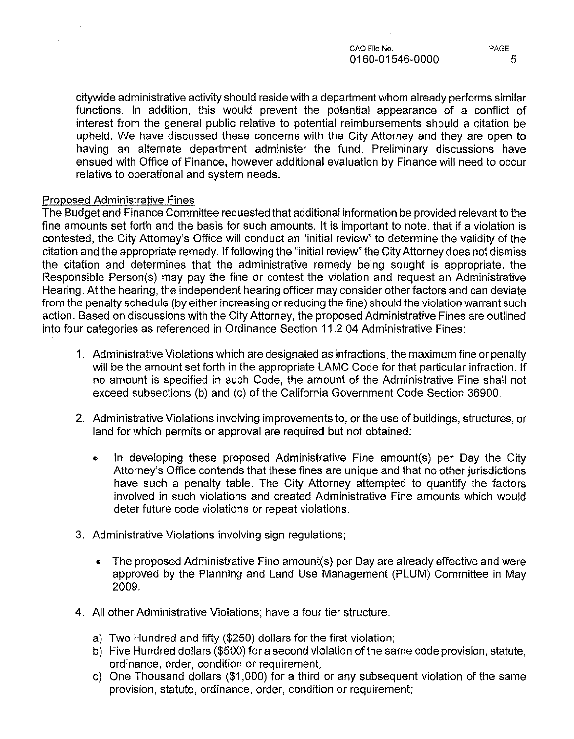CAO File No. PAGE 0160-01546-0000 5

citywide administrative activity should reside with a department whom already performs similar functions. In addition, this would prevent the potential appearance of a conflict of interest from the general public relative to potential reimbursements should a citation be upheld. We have discussed these concerns with the City Attorney and they are open to having an alternate department administer the fund. Preliminary discussions have ensued with Office of Finance, however additional evaluation by Finance will need to occur relative to operational and system needs.

#### Proposed Administrative Fines

 $\bar{\tau}$ 

The Budget and Finance Committee requested that additional information be provided relevant to the fine amounts set forth and the basis for such amounts. It is important to note, that if a violation is contested, the City Attorney's Office will conduct an "initial review" to determine the validity of the citation and the appropriate remedy. If following the "initial review" the City Attorney does not dismiss the citation and determines that the administrative remedy being sought is appropriate, the Responsible Person(s) may pay the fine or contest the violation and request an Administrative Hearing. At the hearing, the independent hearing officer may consider other factors and can deviate from the penalty schedule (by either increasing or reducing the fine) should the violation warrant such action. Based on discussions with the City Attorney, the proposed Administrative Fines are outlined into four categories as referenced in Ordinance Section 11.2.04 Administrative Fines:

- 1. Administrative Violations which are designated as infractions, the maximum fine or penalty will be the amount set forth in the appropriate LAMC Code for that particular infraction. If no amount is specified in such Code, the amount of the Administrative Fine shall not exceed subsections (b) and (c) of the California Government Code Section 36900.
- 2. Administrative Violations involving improvements to, or the use of buildings, structures, or land for which permits or approval are required but not obtained:
	- In developing these proposed Administrative Fine amount(s) per Day the City Attorney's Office contends that these fines are unique and that no other jurisdictions have such a penalty table. The City Attorney attempted to quantify the factors involved in such violations and created Administrative Fine amounts which would deter future code violations or repeat violations.
- 3. Administrative Violations involving sign regulations;
	- The proposed Administrative Fine amount(s) per Day are already effective and were approved by the Planning and Land Use Management (PLUM) Committee in May 2009.
- 4. All other Administrative Violations; have a four tier structure.
	- a) Two Hundred and fifty (\$250) dollars for the first violation;
	- b) Five Hundred dollars (\$500) for a second violation of the same code provision, statute, ordinance, order, condition or requirement;
	- c) One Thousand dollars (\$1 ,000) for a third or any subsequent violation of the same provision, statute, ordinance, order, condition or requirement;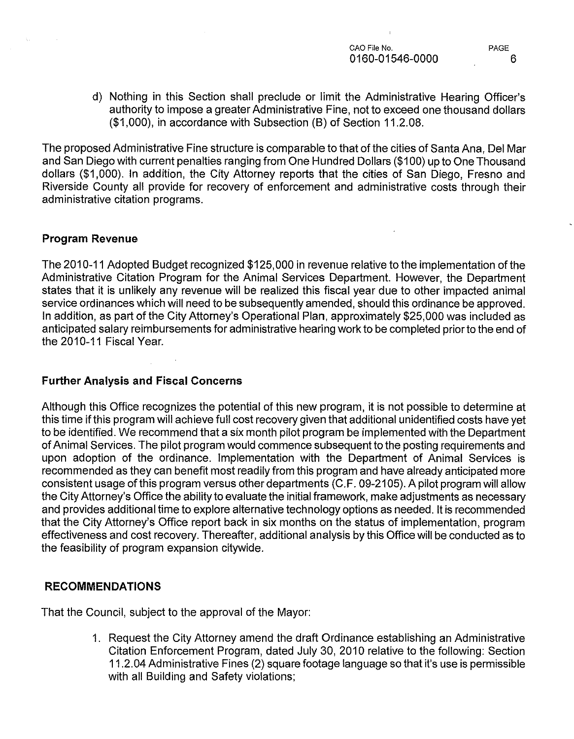d) Nothing in this Section shall preclude or limit the Administrative Hearing Officer's authority to impose a greater Administrative Fine, not to exceed one thousand dollars (\$1 ,000), in accordance with Subsection (B) of Section 11.2.08.

The proposed Administrative Fine structure is comparable to that of the cities of Santa Ana, Del Mar and San Diego with current penalties ranging from One Hundred Dollars (\$100) up to One Thousand dollars (\$1 ,000). In addition, the City Attorney reports that the cities of San Diego, Fresno and Riverside County all provide for recovery of enforcement and administrative costs through their administrative citation programs.

### **Program Revenue**

The 2010-11 Adopted Budget recognized \$125,000 in revenue relative to the implementation of the Administrative Citation Program for the Animal Services Department. However, the Department states that it is unlikely any revenue will be realized this fiscal year due to other impacted animal service ordinances which will need to be subsequently amended, should this ordinance be approved. In addition, as part of the City Attorney's Operational Plan, approximately \$25,000 was included as anticipated salary reimbursements for administrative hearing work to be completed prior to the end of the 2010-11 Fiscal Year.

# **Further Analysis and Fiscal Concerns**

Although this Office recognizes the potential of this new program, it is not possible to determine at this time if this program will achieve full cost recovery given that additional unidentified costs have yet to be identified. We recommend that a six month pilot program be implemented with the Department of Animal Services. The pilot program would commence subsequent to the posting requirements and upon adoption of the ordinance. Implementation with the Department of Animal Services is recommended as they can benefit most readily from this program and have already anticipated more consistent usage of this program versus other departments (C.F. 09-21 05). A pilot program will allow the City Attorney's Office the ability to evaluate the initial framework, make adjustments as necessary and provides additional time to explore alternative technology options as needed. It is recommended that the City Attorney's Office report back in six months on the status of implementation, program effectiveness and cost recovery. Thereafter, additional analysis by this Office will be conducted as to the feasibility of program expansion citywide.

# **RECOMMENDATIONS**

That the Council, subject to the approval of the Mayor:

1. Request the City Attorney amend the draft Ordinance establishing an Administrative Citation Enforcement Program, dated July 30, 2010 relative to the following: Section 11.2.04 Administrative Fines (2) square footage language so that it's use is permissible with all Building and Safety violations;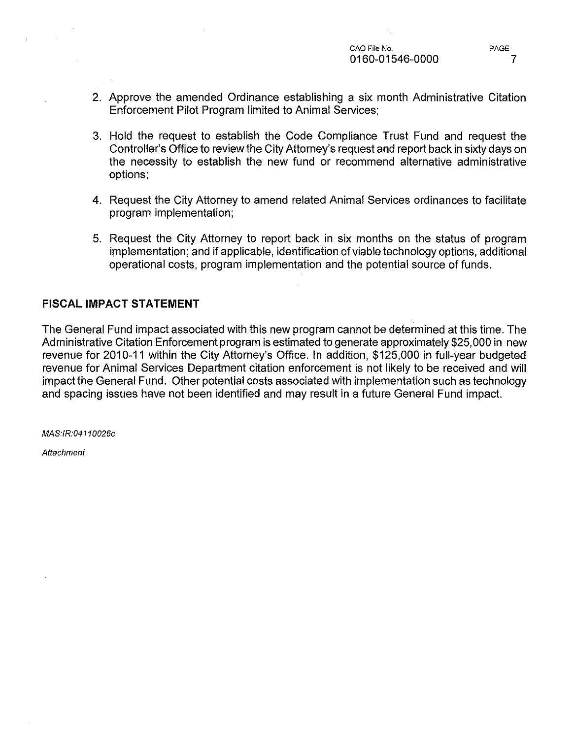- 2. Approve the amended Ordinance establishing a six month Administrative Citation Enforcement Pilot Program limited to Animal Services;
- 3. Hold the request to establish the Code Compliance Trust Fund and request the Controller's Office to review the City Attorney's request and report back in sixty days on the necessity to establish the new fund or recommend alternative administrative options;
- 4. Request the City Attorney to amend related Animal Services ordinances to facilitate program implementation;
- 5. Request the City Attorney to report back in six months on the status of program implementation; and if applicable, identification of viable technology options, additional operational costs, program implementation and the potential source of funds.

# **FISCAL IMPACT STATEMENT**

The General Fund impact associated with this new program cannot be determined at this time. The Administrative Citation Enforcement program is estimated to generate approximately \$25,000 in new revenue for 2010-11 within the City Attorney's Office. In addition, \$125,000 in full-year budgeted revenue for Animal Services Department citation enforcement is not likely to be received and will impact the General Fund. Other potential costs associated with implementation such as technology and spacing issues have not been identified and may result in a future General Fund impact.

MAS:IR:0411 0026c

**Attachment**